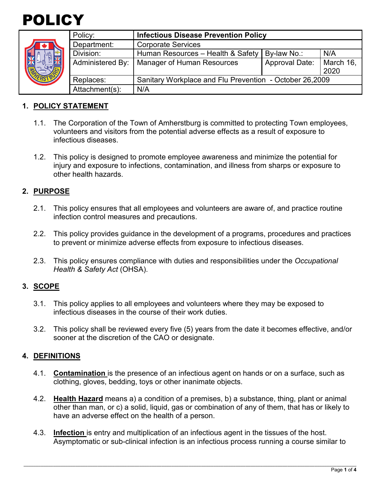



| Policy: |                       | <b>Infectious Disease Prevention Policy</b>             |                       |                   |
|---------|-----------------------|---------------------------------------------------------|-----------------------|-------------------|
|         | Department:           | <b>Corporate Services</b>                               |                       |                   |
|         | Division:             | Human Resources - Health & Safety                       | By-law No.:           | N/A               |
|         | Administered By:      | <b>Manager of Human Resources</b>                       | <b>Approval Date:</b> | March 16,<br>2020 |
|         | Replaces:             | Sanitary Workplace and Flu Prevention - October 26,2009 |                       |                   |
|         | Attachment(s):<br>N/A |                                                         |                       |                   |

### **1. POLICY STATEMENT**

- 1.1. The Corporation of the Town of Amherstburg is committed to protecting Town employees, volunteers and visitors from the potential adverse effects as a result of exposure to infectious diseases.
- 1.2. This policy is designed to promote employee awareness and minimize the potential for injury and exposure to infections, contamination, and illness from sharps or exposure to other health hazards.

### **2. PURPOSE**

- 2.1. This policy ensures that all employees and volunteers are aware of, and practice routine infection control measures and precautions.
- 2.2. This policy provides guidance in the development of a programs, procedures and practices to prevent or minimize adverse effects from exposure to infectious diseases.
- 2.3. This policy ensures compliance with duties and responsibilities under the *Occupational Health & Safety Act* (OHSA).

### **3. SCOPE**

- 3.1. This policy applies to all employees and volunteers where they may be exposed to infectious diseases in the course of their work duties.
- 3.2. This policy shall be reviewed every five (5) years from the date it becomes effective, and/or sooner at the discretion of the CAO or designate.

### **4. DEFINITIONS**

- 4.1. **Contamination** is the presence of an infectious agent on hands or on a surface, such as clothing, gloves, bedding, toys or other inanimate objects.
- 4.2. **Health Hazard** means a) a condition of a premises, b) a substance, thing, plant or animal other than man, or c) a solid, liquid, gas or combination of any of them, that has or likely to have an adverse effect on the health of a person.
- 4.3. **Infection** is entry and multiplication of an infectious agent in the tissues of the host. Asymptomatic or sub-clinical infection is an infectious process running a course similar to

\_\_\_\_\_\_\_\_\_\_\_\_\_\_\_\_\_\_\_\_\_\_\_\_\_\_\_\_\_\_\_\_\_\_\_\_\_\_\_\_\_\_\_\_\_\_\_\_\_\_\_\_\_\_\_\_\_\_\_\_\_\_\_\_\_\_\_\_\_\_\_\_\_\_\_\_\_\_\_\_\_\_\_\_\_\_\_\_\_\_\_\_\_\_\_\_\_\_\_\_\_\_\_\_\_\_\_\_\_\_\_\_\_\_\_\_\_\_\_\_\_\_\_\_\_\_\_\_\_\_\_\_\_\_\_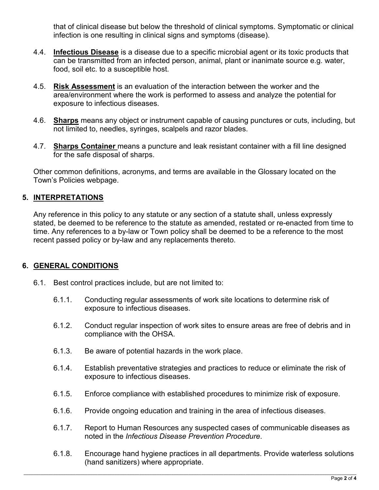that of clinical disease but below the threshold of clinical symptoms. Symptomatic or clinical infection is one resulting in clinical signs and symptoms (disease).

- 4.4. **Infectious Disease** is a disease due to a specific microbial agent or its toxic products that can be transmitted from an infected person, animal, plant or inanimate source e.g. water, food, soil etc. to a susceptible host.
- 4.5. **Risk Assessment** is an evaluation of the interaction between the worker and the area/environment where the work is performed to assess and analyze the potential for exposure to infectious diseases.
- 4.6. **Sharps** means any object or instrument capable of causing punctures or cuts, including, but not limited to, needles, syringes, scalpels and razor blades.
- 4.7. **Sharps Container** means a puncture and leak resistant container with a fill line designed for the safe disposal of sharps.

Other common definitions, acronyms, and terms are available in the Glossary located on the Town's Policies webpage.

### **5. INTERPRETATIONS**

Any reference in this policy to any statute or any section of a statute shall, unless expressly stated, be deemed to be reference to the statute as amended, restated or re-enacted from time to time. Any references to a by-law or Town policy shall be deemed to be a reference to the most recent passed policy or by-law and any replacements thereto.

### **6. GENERAL CONDITIONS**

- 6.1. Best control practices include, but are not limited to:
	- 6.1.1. Conducting regular assessments of work site locations to determine risk of exposure to infectious diseases.
	- 6.1.2. Conduct regular inspection of work sites to ensure areas are free of debris and in compliance with the OHSA.
	- 6.1.3. Be aware of potential hazards in the work place.
	- 6.1.4. Establish preventative strategies and practices to reduce or eliminate the risk of exposure to infectious diseases.
	- 6.1.5. Enforce compliance with established procedures to minimize risk of exposure.
	- 6.1.6. Provide ongoing education and training in the area of infectious diseases.
	- 6.1.7. Report to Human Resources any suspected cases of communicable diseases as noted in the *Infectious Disease Prevention Procedure*.
	- 6.1.8. Encourage hand hygiene practices in all departments. Provide waterless solutions (hand sanitizers) where appropriate.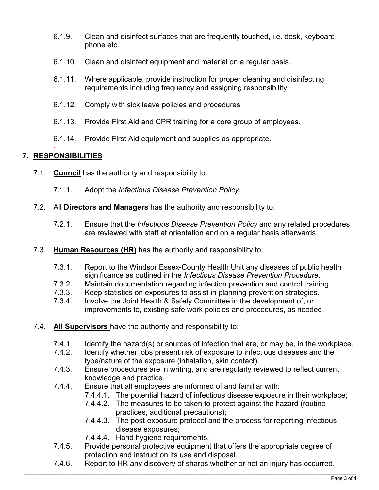- 6.1.9. Clean and disinfect surfaces that are frequently touched, i.e. desk, keyboard, phone etc.
- 6.1.10. Clean and disinfect equipment and material on a regular basis.
- 6.1.11. Where applicable, provide instruction for proper cleaning and disinfecting requirements including frequency and assigning responsibility.
- 6.1.12. Comply with sick leave policies and procedures
- 6.1.13. Provide First Aid and CPR training for a core group of employees.
- 6.1.14. Provide First Aid equipment and supplies as appropriate.

#### · **7. RESPONSIBILITIES**

- 7.1. **Council** has the authority and responsibility to:
	- 7.1.1. Adopt the *Infectious Disease Prevention Policy*.
- 7.2. All **Directors and Managers** has the authority and responsibility to:
	- 7.2.1. Ensure that the *Infectious Disease Prevention Policy* and any related procedures are reviewed with staff at orientation and on a regular basis afterwards.
- 7.3. **Human Resources (HR)** has the authority and responsibility to:
	- 7.3.1. Report to the Windsor Essex-County Health Unit any diseases of public health significance as outlined in the *Infectious Disease Prevention Procedure*.
	- 7.3.2. Maintain documentation regarding infection prevention and control training.
	- 7.3.3. Keep statistics on exposures to assist in planning prevention strategies.
	- 7.3.4. Involve the Joint Health & Safety Committee in the development of, or improvements to, existing safe work policies and procedures, as needed.
- 7.4. **All Supervisors** have the authority and responsibility to:
	- 7.4.1. Identify the hazard(s) or sources of infection that are, or may be, in the workplace.
	- 7.4.2. Identify whether jobs present risk of exposure to infectious diseases and the type/nature of the exposure (inhalation, skin contact).
	- 7.4.3. Ensure procedures are in writing, and are regularly reviewed to reflect current knowledge and practice.
	- 7.4.4. Ensure that all employees are informed of and familiar with:
		- 7.4.4.1. The potential hazard of infectious disease exposure in their workplace;
			- 7.4.4.2. The measures to be taken to protect against the hazard (routine practices, additional precautions);
			- 7.4.4.3. The post-exposure protocol and the process for reporting infectious disease exposures;
			- 7.4.4.4. Hand hygiene requirements.
	- 7.4.5. Provide personal protective equipment that offers the appropriate degree of protection and instruct on its use and disposal.
	- 7.4.6. Report to HR any discovery of sharps whether or not an injury has occurred.